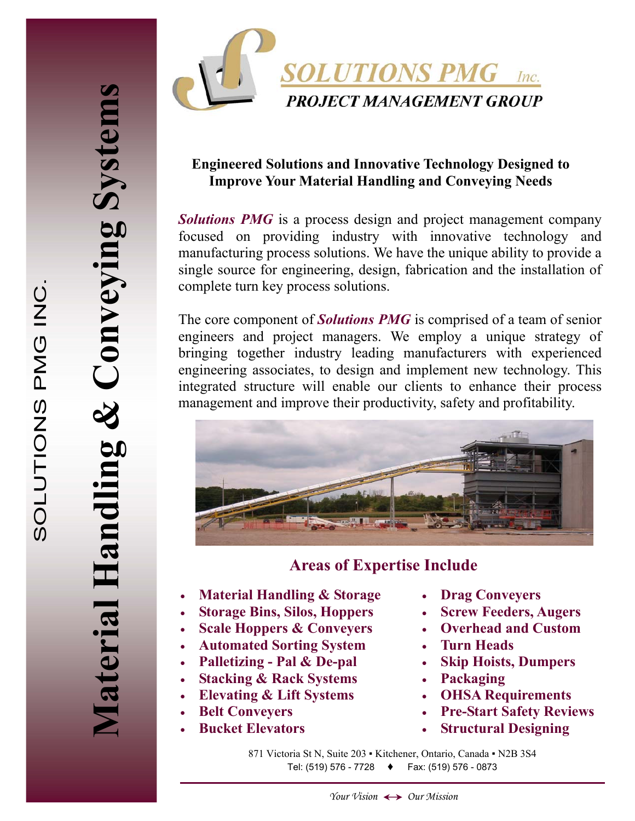**Material Handling & Conveying Systems** 

Material Handling &

Conveying System



#### **Engineered Solutions and Innovative Technology Designed to Improve Your Material Handling and Conveying Needs**

*Solutions PMG* is a process design and project management company focused on providing industry with innovative technology and manufacturing process solutions. We have the unique ability to provide a single source for engineering, design, fabrication and the installation of complete turn key process solutions.

The core component of *Solutions PMG* is comprised of a team of senior engineers and project managers. We employ a unique strategy of bringing together industry leading manufacturers with experienced engineering associates, to design and implement new technology. This integrated structure will enable our clients to enhance their process management and improve their productivity, safety and profitability.



### **Areas of Expertise Include**

- **Material Handling & Storage**
- **Storage Bins, Silos, Hoppers**
- **Scale Hoppers & Conveyers**
- **Automated Sorting System**
- **Palletizing Pal & De-pal**
- **Stacking & Rack Systems**
- **Elevating & Lift Systems**
- **Belt Conveyers**
- **Bucket Elevators**
- **Drag Conveyers**
- **Screw Feeders, Augers**
- **Overhead and Custom**
- **Turn Heads**
- **Skip Hoists, Dumpers**
- **Packaging**
- **OHSA Requirements**
- **Pre-Start Safety Reviews**
- **Structural Designing**

871 Victoria St N, Suite 203 · Kitchener, Ontario, Canada · N2B 3S4 Tel: (519) 576 - 7728 **♦** Fax: (519) 576 - 0873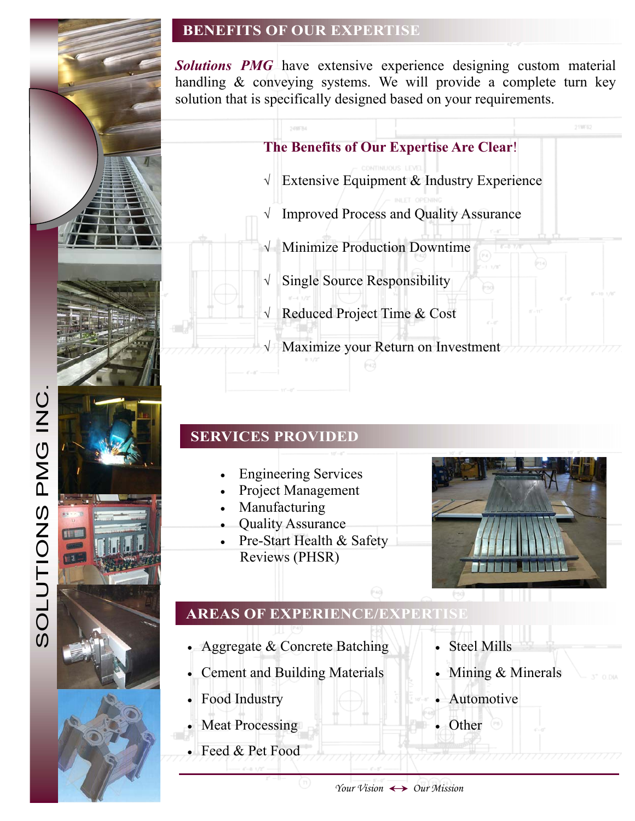### **BENEFITS OF OUR EXPERTISE**

*Solutions PMG* have extensive experience designing custom material handling & conveying systems. We will provide a complete turn key solution that is specifically designed based on your requirements.



# **SERVICES PROVIDED**

- Engineering Services
- Project Management
- Manufacturing
- Quality Assurance
- Pre-Start Health & Safety Reviews (PHSR)



# **AREAS OF EXPERIENCE/EXPERTISE**

- Aggregate & Concrete Batching
- Cement and Building Materials
- Food Industry
- **Meat Processing**
- Feed & Pet Food
- **Steel Mills**
- Mining & Minerals
- Automotive
	- Other

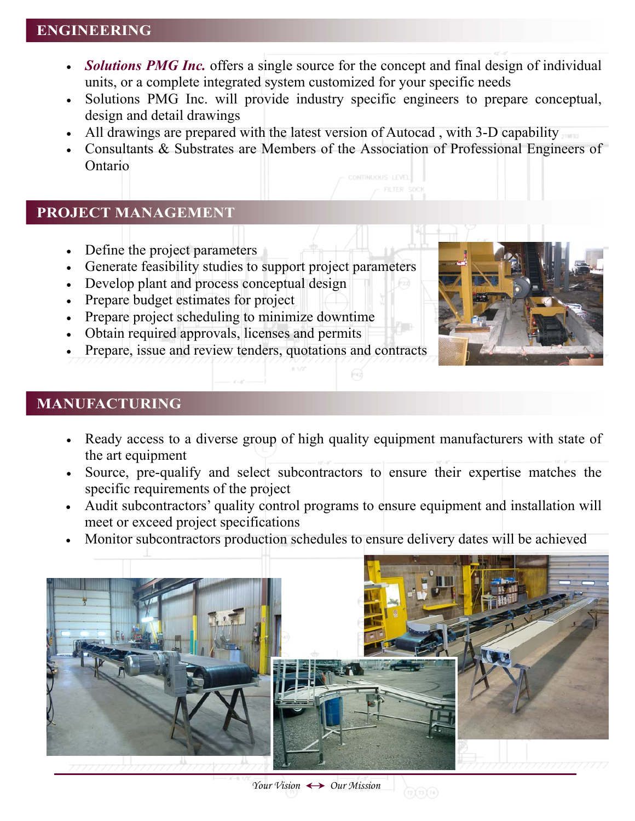#### **ENGINEERING**

- *Solutions PMG Inc.* offers a single source for the concept and final design of individual units, or a complete integrated system customized for your specific needs
- Solutions PMG Inc. will provide industry specific engineers to prepare conceptual, design and detail drawings
- All drawings are prepared with the latest version of Autocad , with 3-D capability
- Consultants & Substrates are Members of the Association of Professional Engineers of Ontario

#### **PROJECT MANAGEMENT**

- Define the project parameters
- Generate feasibility studies to support project parameters
- Develop plant and process conceptual design
- Prepare budget estimates for project
- Prepare project scheduling to minimize downtime
- Obtain required approvals, licenses and permits
- Prepare, issue and review tenders, quotations and contracts



### **MANUFACTURING**

• Ready access to a diverse group of high quality equipment manufacturers with state of the art equipment

 $(r_4)$ 

- Source, pre-qualify and select subcontractors to ensure their expertise matches the specific requirements of the project
- Audit subcontractors' quality control programs to ensure equipment and installation will meet or exceed project specifications
- Monitor subcontractors production schedules to ensure delivery dates will be achieved



 $(12)(13)(14)$